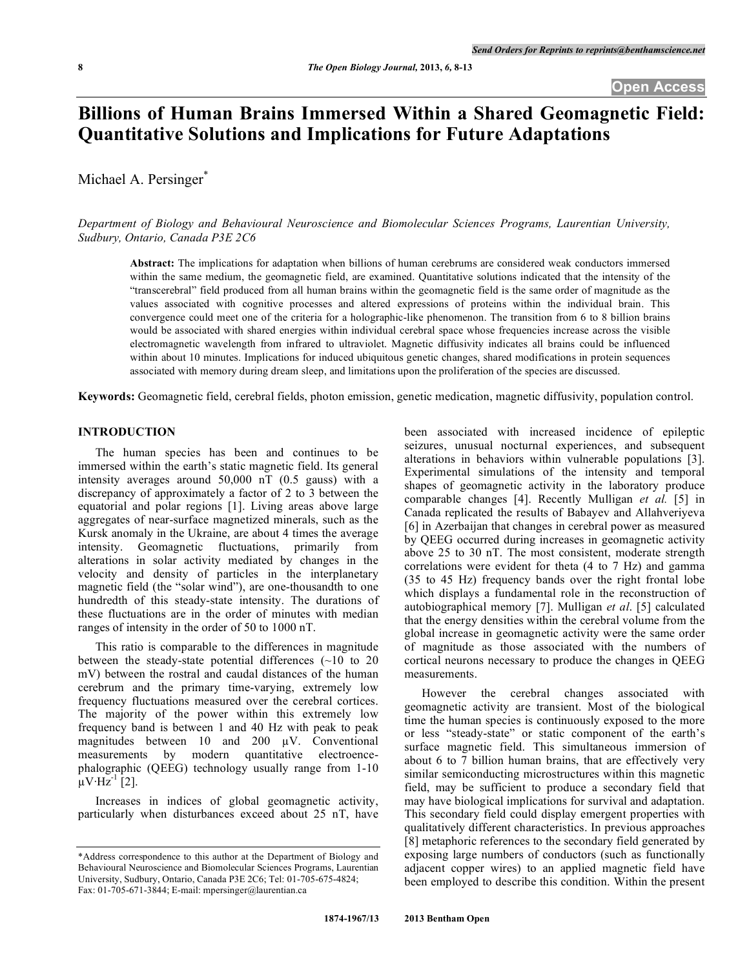# **Billions of Human Brains Immersed Within a Shared Geomagnetic Field: Quantitative Solutions and Implications for Future Adaptations**

Michael A. Persinger\*

*Department of Biology and Behavioural Neuroscience and Biomolecular Sciences Programs, Laurentian University, Sudbury, Ontario, Canada P3E 2C6*

**Abstract:** The implications for adaptation when billions of human cerebrums are considered weak conductors immersed within the same medium, the geomagnetic field, are examined. Quantitative solutions indicated that the intensity of the "transcerebral" field produced from all human brains within the geomagnetic field is the same order of magnitude as the values associated with cognitive processes and altered expressions of proteins within the individual brain. This convergence could meet one of the criteria for a holographic-like phenomenon. The transition from 6 to 8 billion brains would be associated with shared energies within individual cerebral space whose frequencies increase across the visible electromagnetic wavelength from infrared to ultraviolet. Magnetic diffusivity indicates all brains could be influenced within about 10 minutes. Implications for induced ubiquitous genetic changes, shared modifications in protein sequences associated with memory during dream sleep, and limitations upon the proliferation of the species are discussed.

**Keywords:** Geomagnetic field, cerebral fields, photon emission, genetic medication, magnetic diffusivity, population control.

# **INTRODUCTION**

The human species has been and continues to be immersed within the earth's static magnetic field. Its general intensity averages around 50,000 nT (0.5 gauss) with a discrepancy of approximately a factor of 2 to 3 between the equatorial and polar regions [1]. Living areas above large aggregates of near-surface magnetized minerals, such as the Kursk anomaly in the Ukraine, are about 4 times the average intensity. Geomagnetic fluctuations, primarily from alterations in solar activity mediated by changes in the velocity and density of particles in the interplanetary magnetic field (the "solar wind"), are one-thousandth to one hundredth of this steady-state intensity. The durations of these fluctuations are in the order of minutes with median ranges of intensity in the order of 50 to 1000 nT.

This ratio is comparable to the differences in magnitude between the steady-state potential differences  $(\sim 10$  to 20 mV) between the rostral and caudal distances of the human cerebrum and the primary time-varying, extremely low frequency fluctuations measured over the cerebral cortices. The majority of the power within this extremely low frequency band is between 1 and 40 Hz with peak to peak magnitudes between 10 and 200  $\mu$ V. Conventional measurements by modern quantitative electroencephalographic (QEEG) technology usually range from 1-10  $\mu$ V·Hz<sup>-1</sup> [2].

Increases in indices of global geomagnetic activity, particularly when disturbances exceed about 25 nT, have

been associated with increased incidence of epileptic seizures, unusual nocturnal experiences, and subsequent alterations in behaviors within vulnerable populations [3]. Experimental simulations of the intensity and temporal shapes of geomagnetic activity in the laboratory produce comparable changes [4]. Recently Mulligan *et al.* [5] in Canada replicated the results of Babayev and Allahveriyeva [6] in Azerbaijan that changes in cerebral power as measured by QEEG occurred during increases in geomagnetic activity above 25 to 30 nT. The most consistent, moderate strength correlations were evident for theta (4 to 7 Hz) and gamma (35 to 45 Hz) frequency bands over the right frontal lobe which displays a fundamental role in the reconstruction of autobiographical memory [7]. Mulligan *et al*. [5] calculated that the energy densities within the cerebral volume from the global increase in geomagnetic activity were the same order of magnitude as those associated with the numbers of cortical neurons necessary to produce the changes in QEEG measurements.

However the cerebral changes associated with geomagnetic activity are transient. Most of the biological time the human species is continuously exposed to the more or less "steady-state" or static component of the earth's surface magnetic field. This simultaneous immersion of about 6 to 7 billion human brains, that are effectively very similar semiconducting microstructures within this magnetic field, may be sufficient to produce a secondary field that may have biological implications for survival and adaptation. This secondary field could display emergent properties with qualitatively different characteristics. In previous approaches [8] metaphoric references to the secondary field generated by exposing large numbers of conductors (such as functionally adjacent copper wires) to an applied magnetic field have been employed to describe this condition. Within the present

<sup>\*</sup>Address correspondence to this author at the Department of Biology and Behavioural Neuroscience and Biomolecular Sciences Programs, Laurentian University, Sudbury, Ontario, Canada P3E 2C6; Tel: 01-705-675-4824; Fax: 01-705-671-3844; E-mail: mpersinger@laurentian.ca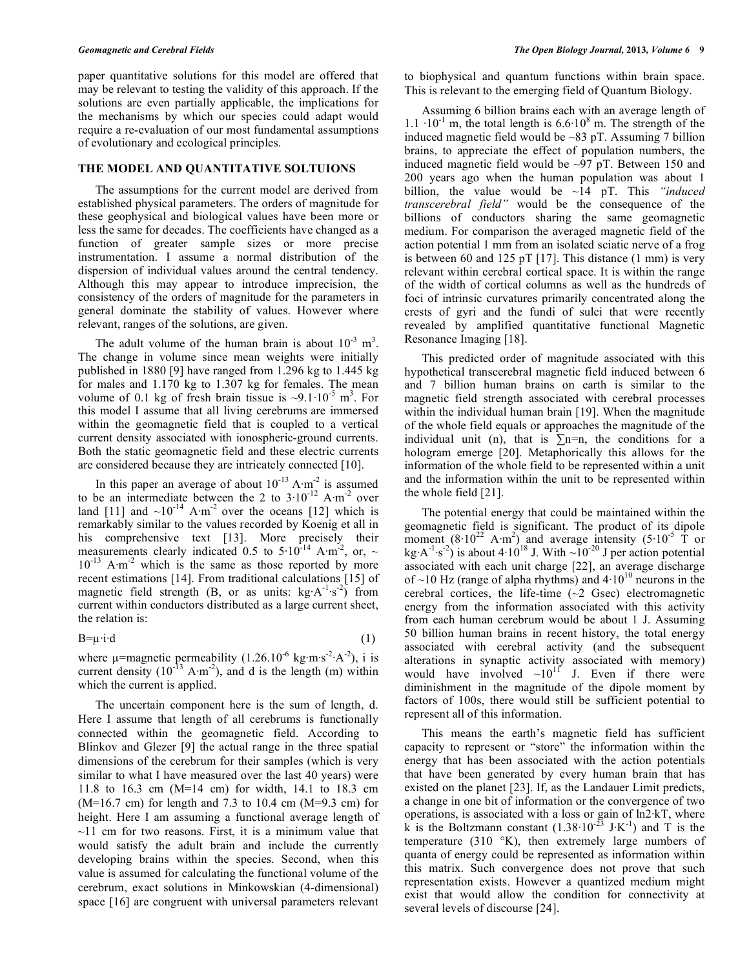paper quantitative solutions for this model are offered that may be relevant to testing the validity of this approach. If the solutions are even partially applicable, the implications for the mechanisms by which our species could adapt would require a re-evaluation of our most fundamental assumptions of evolutionary and ecological principles.

### **THE MODEL AND QUANTITATIVE SOLTUIONS**

The assumptions for the current model are derived from established physical parameters. The orders of magnitude for these geophysical and biological values have been more or less the same for decades. The coefficients have changed as a function of greater sample sizes or more precise instrumentation. I assume a normal distribution of the dispersion of individual values around the central tendency. Although this may appear to introduce imprecision, the consistency of the orders of magnitude for the parameters in general dominate the stability of values. However where relevant, ranges of the solutions, are given.

The adult volume of the human brain is about  $10^{-3}$  m<sup>3</sup>. The change in volume since mean weights were initially published in 1880 [9] have ranged from 1.296 kg to 1.445 kg for males and 1.170 kg to 1.307 kg for females. The mean volume of 0.1 kg of fresh brain tissue is  $\sim 9.1 \cdot 10^{-5}$  m<sup>3</sup>. For this model I assume that all living cerebrums are immersed within the geomagnetic field that is coupled to a vertical current density associated with ionospheric-ground currents. Both the static geomagnetic field and these electric currents are considered because they are intricately connected [10].

In this paper an average of about  $10^{-13}$  A·m<sup>-2</sup> is assumed to be an intermediate between the 2 to  $3 \cdot 10^{-12}$  A·m<sup>-2</sup> over land [11] and  $\sim 10^{-14}$  A·m<sup>-2</sup> over the oceans [12] which is remarkably similar to the values recorded by Koenig et all in his comprehensive text [13]. More precisely their measurements clearly indicated 0.5 to  $5.10^{-14}$  A·m<sup>-2</sup>, or, ~  $10^{-13}$  A·m<sup>-2</sup> which is the same as those reported by more recent estimations [14]. From traditional calculations [15] of magnetic field strength (B, or as units:  $kg \cdot A^{-1} \cdot s^{-2}$ ) from current within conductors distributed as a large current sheet, the relation is:

$$
B = \mu \cdot \mathrm{id} \tag{1}
$$

where  $\mu$ =magnetic permeability (1.26.10<sup>-6</sup> kg·m·s<sup>-2</sup>·A<sup>-2</sup>), i is current density  $(10^{-13} \text{ A} \cdot \text{m}^2)$ , and d is the length (m) within which the current is applied.

The uncertain component here is the sum of length, d. Here I assume that length of all cerebrums is functionally connected within the geomagnetic field. According to Blinkov and Glezer [9] the actual range in the three spatial dimensions of the cerebrum for their samples (which is very similar to what I have measured over the last 40 years) were 11.8 to 16.3 cm (M=14 cm) for width, 14.1 to 18.3 cm  $(M=16.7 \text{ cm})$  for length and 7.3 to 10.4 cm  $(M=9.3 \text{ cm})$  for height. Here I am assuming a functional average length of  $\sim$ 11 cm for two reasons. First, it is a minimum value that would satisfy the adult brain and include the currently developing brains within the species. Second, when this value is assumed for calculating the functional volume of the cerebrum, exact solutions in Minkowskian (4-dimensional) space [16] are congruent with universal parameters relevant

to biophysical and quantum functions within brain space. This is relevant to the emerging field of Quantum Biology.

Assuming 6 billion brains each with an average length of 1.1  $\cdot$ 10<sup>-1</sup> m, the total length is 6.6 $\cdot$ 10<sup>8</sup> m. The strength of the induced magnetic field would be ~83 pT. Assuming 7 billion brains, to appreciate the effect of population numbers, the induced magnetic field would be  $\sim$ 97 pT. Between 150 and 200 years ago when the human population was about 1 billion, the value would be ~14 pT. This *"induced transcerebral field"* would be the consequence of the billions of conductors sharing the same geomagnetic medium. For comparison the averaged magnetic field of the action potential 1 mm from an isolated sciatic nerve of a frog is between 60 and 125 pT [17]. This distance (1 mm) is very relevant within cerebral cortical space. It is within the range of the width of cortical columns as well as the hundreds of foci of intrinsic curvatures primarily concentrated along the crests of gyri and the fundi of sulci that were recently revealed by amplified quantitative functional Magnetic Resonance Imaging [18].

This predicted order of magnitude associated with this hypothetical transcerebral magnetic field induced between 6 and 7 billion human brains on earth is similar to the magnetic field strength associated with cerebral processes within the individual human brain [19]. When the magnitude of the whole field equals or approaches the magnitude of the individual unit (n), that is  $\Sigma$ n=n, the conditions for a hologram emerge [20]. Metaphorically this allows for the information of the whole field to be represented within a unit and the information within the unit to be represented within the whole field [21].

The potential energy that could be maintained within the geomagnetic field is significant. The product of its dipole moment  $(8.10^{22} \text{ A} \cdot \text{m}^2)$  and average intensity  $(5.10^{-5} \text{ T})$  or kg $\cdot$ A<sup>-1</sup> $\cdot$ s<sup>-2</sup>) is about 4·10<sup>18</sup> J. With  $\sim$ 10<sup>-20</sup> J per action potential associated with each unit charge [22], an average discharge of ~10 Hz (range of alpha rhythms) and  $4 \cdot 10^{10}$  neurons in the cerebral cortices, the life-time  $(\sim 2 \text{ Gsec})$  electromagnetic energy from the information associated with this activity from each human cerebrum would be about 1 J. Assuming 50 billion human brains in recent history, the total energy associated with cerebral activity (and the subsequent alterations in synaptic activity associated with memory) would have involved  $\sim 10^{11}$  J. Even if there were diminishment in the magnitude of the dipole moment by factors of 100s, there would still be sufficient potential to represent all of this information.

This means the earth's magnetic field has sufficient capacity to represent or "store" the information within the energy that has been associated with the action potentials that have been generated by every human brain that has existed on the planet [23]. If, as the Landauer Limit predicts, a change in one bit of information or the convergence of two operations, is associated with a loss or gain of ln2·kT, where k is the Boltzmann constant  $(1.38 \cdot 10^{-23} \text{ J} \cdot \text{K}^{-1})$  and T is the temperature (310 °K), then extremely large numbers of quanta of energy could be represented as information within this matrix. Such convergence does not prove that such representation exists. However a quantized medium might exist that would allow the condition for connectivity at several levels of discourse [24].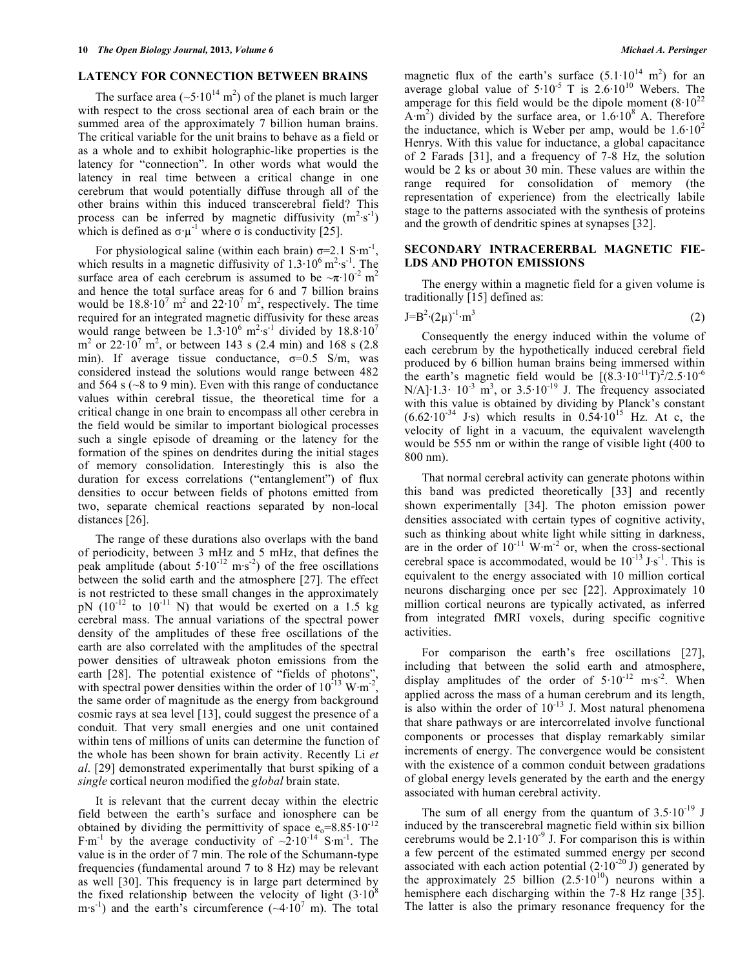## **LATENCY FOR CONNECTION BETWEEN BRAINS**

The surface area ( $\sim 5.10^{14}$  m<sup>2</sup>) of the planet is much larger with respect to the cross sectional area of each brain or the summed area of the approximately 7 billion human brains. The critical variable for the unit brains to behave as a field or as a whole and to exhibit holographic-like properties is the latency for "connection". In other words what would the latency in real time between a critical change in one cerebrum that would potentially diffuse through all of the other brains within this induced transcerebral field? This process can be inferred by magnetic diffusivity  $(m^2 \cdot s^{-1})$ which is defined as  $\sigma \cdot \mu^{-1}$  where  $\sigma$  is conductivity [25].

For physiological saline (within each brain)  $\sigma = 2.1 \text{ S} \cdot \text{m}^{-1}$ , which results in a magnetic diffusivity of  $1.3 \cdot 10^6$  m<sup>2</sup> $\cdot$ s<sup>-1</sup>. The surface area of each cerebrum is assumed to be  $\sim \pi \cdot 10^{-2}$  m<sup>2</sup> and hence the total surface areas for 6 and 7 billion brains would be  $18.8 \cdot 10^7$  m<sup>2</sup> and  $22 \cdot 10^7$  m<sup>2</sup>, respectively. The time required for an integrated magnetic diffusivity for these areas would range between be  $1.3 \cdot 10^6$  m<sup>2</sup> $\cdot$ s<sup>-1</sup> divided by 18.8 $\cdot 10^7$  $m^2$  or 22 $\cdot 10^7$  m<sup>2</sup>, or between 143 s (2.4 min) and 168 s (2.8 min). If average tissue conductance,  $\sigma=0.5$  S/m, was considered instead the solutions would range between 482 and 564 s (~8 to 9 min). Even with this range of conductance values within cerebral tissue, the theoretical time for a critical change in one brain to encompass all other cerebra in the field would be similar to important biological processes such a single episode of dreaming or the latency for the formation of the spines on dendrites during the initial stages of memory consolidation. Interestingly this is also the duration for excess correlations ("entanglement") of flux densities to occur between fields of photons emitted from two, separate chemical reactions separated by non-local distances [26].

The range of these durations also overlaps with the band of periodicity, between 3 mHz and 5 mHz, that defines the peak amplitude (about  $5 \cdot 10^{-12}$  m·s<sup>-2</sup>) of the free oscillations between the solid earth and the atmosphere [27]. The effect is not restricted to these small changes in the approximately pN  $(10^{-12}$  to  $10^{-11}$  N) that would be exerted on a 1.5 kg cerebral mass. The annual variations of the spectral power density of the amplitudes of these free oscillations of the earth are also correlated with the amplitudes of the spectral power densities of ultraweak photon emissions from the earth [28]. The potential existence of "fields of photons", with spectral power densities within the order of  $10^{13}$  W·m<sup>-2</sup>, the same order of magnitude as the energy from background cosmic rays at sea level [13], could suggest the presence of a conduit. That very small energies and one unit contained within tens of millions of units can determine the function of the whole has been shown for brain activity. Recently Li *et al*. [29] demonstrated experimentally that burst spiking of a *single* cortical neuron modified the *global* brain state.

It is relevant that the current decay within the electric field between the earth's surface and ionosphere can be obtained by dividing the permittivity of space  $e_0$ =8.85·10<sup>-12</sup> F $\rm \,m^{-1}$  by the average conductivity of  $\sim 2 \cdot 10^{-14}$  S $\rm \,m^{-1}$ . The value is in the order of 7 min. The role of the Schumann-type frequencies (fundamental around 7 to 8 Hz) may be relevant as well [30]. This frequency is in large part determined by the fixed relationship between the velocity of light  $(3.10^8)$ m·s<sup>-1</sup>) and the earth's circumference  $({\sim}4{\cdot}10^7 \text{ m})$ . The total

magnetic flux of the earth's surface  $(5.1 \cdot 10^{14} \text{ m}^2)$  for an average global value of  $5.10^{-5}$  T is  $2.6 \cdot 10^{10}$  Webers. The amperage for this field would be the dipole moment  $(8.10^{22}$  $(A \cdot m^2)$  divided by the surface area, or  $1.6 \cdot 10^8$  A. Therefore the inductance, which is Weber per amp, would be  $1.6 \cdot 10^2$ Henrys. With this value for inductance, a global capacitance of 2 Farads [31], and a frequency of 7-8 Hz, the solution would be 2 ks or about 30 min. These values are within the range required for consolidation of memory (the representation of experience) from the electrically labile stage to the patterns associated with the synthesis of proteins and the growth of dendritic spines at synapses [32].

### **SECONDARY INTRACERERBAL MAGNETIC FIE-LDS AND PHOTON EMISSIONS**

The energy within a magnetic field for a given volume is traditionally [15] defined as:

$$
J = B^2 (2\mu)^{-1} \cdot m^3
$$
 (2)

Consequently the energy induced within the volume of each cerebrum by the hypothetically induced cerebral field produced by 6 billion human brains being immersed within the earth's magnetic field would be  $[(8.3 \cdot 10^{-11}T)^2/2.5 \cdot 10^{-6}]$  $N/A$ <sup>1</sup>.1.3· 10<sup>-3</sup> m<sup>3</sup>, or 3.5·10<sup>-19</sup> J. The frequency associated with this value is obtained by dividing by Planck's constant  $(6.62 \cdot 10^{-34} \text{ J} \cdot \text{s})$  which results in 0.54 $\cdot 10^{15}$  Hz. At c, the velocity of light in a vacuum, the equivalent wavelength would be 555 nm or within the range of visible light (400 to 800 nm).

That normal cerebral activity can generate photons within this band was predicted theoretically [33] and recently shown experimentally [34]. The photon emission power densities associated with certain types of cognitive activity, such as thinking about white light while sitting in darkness, are in the order of  $10^{-11}$  W·m<sup>-2</sup> or, when the cross-sectional cerebral space is accommodated, would be  $10^{-13}$  J·s<sup>-1</sup>. This is equivalent to the energy associated with 10 million cortical neurons discharging once per sec [22]. Approximately 10 million cortical neurons are typically activated, as inferred from integrated fMRI voxels, during specific cognitive activities.

For comparison the earth's free oscillations [27], including that between the solid earth and atmosphere, display amplitudes of the order of  $5 \cdot 10^{-12}$  m·s<sup>-2</sup>. When applied across the mass of a human cerebrum and its length, is also within the order of  $10^{-13}$  J. Most natural phenomena that share pathways or are intercorrelated involve functional components or processes that display remarkably similar increments of energy. The convergence would be consistent with the existence of a common conduit between gradations of global energy levels generated by the earth and the energy associated with human cerebral activity.

The sum of all energy from the quantum of  $3.5 \cdot 10^{-19}$  J induced by the transcerebral magnetic field within six billion cerebrums would be  $2.1 \cdot 10^{-9}$  J. For comparison this is within a few percent of the estimated summed energy per second associated with each action potential  $(2.10^{-20} \text{ J})$  generated by the approximately 25 billion  $(2.5 \cdot 10^{10})$  neurons within a hemisphere each discharging within the 7-8 Hz range [35]. The latter is also the primary resonance frequency for the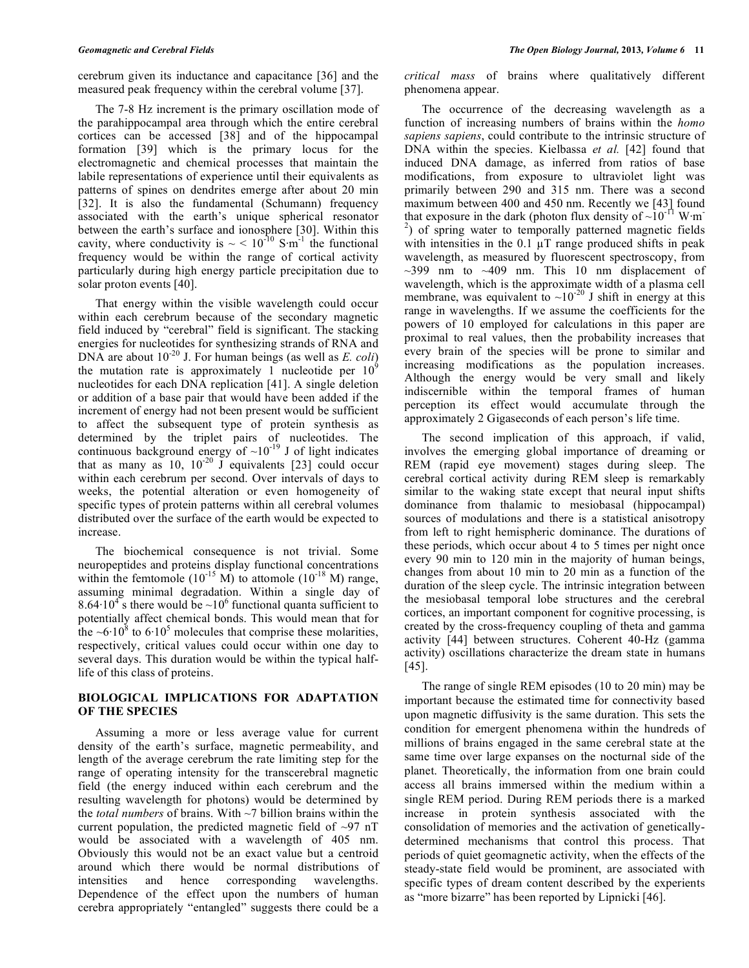cerebrum given its inductance and capacitance [36] and the measured peak frequency within the cerebral volume [37].

The 7-8 Hz increment is the primary oscillation mode of the parahippocampal area through which the entire cerebral cortices can be accessed [38] and of the hippocampal formation [39] which is the primary locus for the electromagnetic and chemical processes that maintain the labile representations of experience until their equivalents as patterns of spines on dendrites emerge after about 20 min [32]. It is also the fundamental (Schumann) frequency associated with the earth's unique spherical resonator between the earth's surface and ionosphere [30]. Within this cavity, where conductivity is  $\sim$  < 10<sup>-10</sup> S·m<sup>-1</sup> the functional frequency would be within the range of cortical activity particularly during high energy particle precipitation due to solar proton events [40].

That energy within the visible wavelength could occur within each cerebrum because of the secondary magnetic field induced by "cerebral" field is significant. The stacking energies for nucleotides for synthesizing strands of RNA and DNA are about 10-20 J. For human beings (as well as *E. coli*) the mutation rate is approximately 1 nucleotide per  $10<sup>9</sup>$ nucleotides for each DNA replication [41]. A single deletion or addition of a base pair that would have been added if the increment of energy had not been present would be sufficient to affect the subsequent type of protein synthesis as determined by the triplet pairs of nucleotides. The continuous background energy of  $\sim 10^{-19}$  J of light indicates that as many as  $10$ ,  $10^{-20}$  J equivalents [23] could occur within each cerebrum per second. Over intervals of days to weeks, the potential alteration or even homogeneity of specific types of protein patterns within all cerebral volumes distributed over the surface of the earth would be expected to increase.

The biochemical consequence is not trivial. Some neuropeptides and proteins display functional concentrations within the femtomole  $(10^{-15} \text{ M})$  to attomole  $(10^{-18} \text{ M})$  range, assuming minimal degradation. Within a single day of 8.64 $\cdot$ 10<sup>4</sup>s there would be  $\sim$ 10<sup>6</sup> functional quanta sufficient to potentially affect chemical bonds. This would mean that for the  $\sim 6.10^8$  to  $6.10^5$  molecules that comprise these molarities, respectively, critical values could occur within one day to several days. This duration would be within the typical halflife of this class of proteins.

## **BIOLOGICAL IMPLICATIONS FOR ADAPTATION OF THE SPECIES**

Assuming a more or less average value for current density of the earth's surface, magnetic permeability, and length of the average cerebrum the rate limiting step for the range of operating intensity for the transcerebral magnetic field (the energy induced within each cerebrum and the resulting wavelength for photons) would be determined by the *total numbers* of brains. With ~7 billion brains within the current population, the predicted magnetic field of  $\sim$ 97 nT would be associated with a wavelength of 405 nm. Obviously this would not be an exact value but a centroid around which there would be normal distributions of intensities and hence corresponding wavelengths. Dependence of the effect upon the numbers of human cerebra appropriately "entangled" suggests there could be a

*critical mass* of brains where qualitatively different phenomena appear.

The occurrence of the decreasing wavelength as a function of increasing numbers of brains within the *homo sapiens sapiens*, could contribute to the intrinsic structure of DNA within the species. Kielbassa *et al.* [42] found that induced DNA damage, as inferred from ratios of base modifications, from exposure to ultraviolet light was primarily between 290 and 315 nm. There was a second maximum between 400 and 450 nm. Recently we [43] found that exposure in the dark (photon flux density of  $\sim 10^{-11}$  W·m<sup>-</sup> <sup>2</sup>) of spring water to temporally patterned magnetic fields with intensities in the  $0.1 \mu T$  range produced shifts in peak wavelength, as measured by fluorescent spectroscopy, from  $\sim$ 399 nm to  $\sim$ 409 nm. This 10 nm displacement of wavelength, which is the approximate width of a plasma cell membrane, was equivalent to  $\sim 10^{-20}$  J shift in energy at this range in wavelengths. If we assume the coefficients for the powers of 10 employed for calculations in this paper are proximal to real values, then the probability increases that every brain of the species will be prone to similar and increasing modifications as the population increases. Although the energy would be very small and likely indiscernible within the temporal frames of human perception its effect would accumulate through the approximately 2 Gigaseconds of each person's life time.

The second implication of this approach, if valid, involves the emerging global importance of dreaming or REM (rapid eye movement) stages during sleep. The cerebral cortical activity during REM sleep is remarkably similar to the waking state except that neural input shifts dominance from thalamic to mesiobasal (hippocampal) sources of modulations and there is a statistical anisotropy from left to right hemispheric dominance. The durations of these periods, which occur about 4 to 5 times per night once every 90 min to 120 min in the majority of human beings, changes from about 10 min to 20 min as a function of the duration of the sleep cycle. The intrinsic integration between the mesiobasal temporal lobe structures and the cerebral cortices, an important component for cognitive processing, is created by the cross-frequency coupling of theta and gamma activity [44] between structures. Coherent 40-Hz (gamma activity) oscillations characterize the dream state in humans [45].

The range of single REM episodes (10 to 20 min) may be important because the estimated time for connectivity based upon magnetic diffusivity is the same duration. This sets the condition for emergent phenomena within the hundreds of millions of brains engaged in the same cerebral state at the same time over large expanses on the nocturnal side of the planet. Theoretically, the information from one brain could access all brains immersed within the medium within a single REM period. During REM periods there is a marked increase in protein synthesis associated with the consolidation of memories and the activation of geneticallydetermined mechanisms that control this process. That periods of quiet geomagnetic activity, when the effects of the steady-state field would be prominent, are associated with specific types of dream content described by the experients as "more bizarre" has been reported by Lipnicki [46].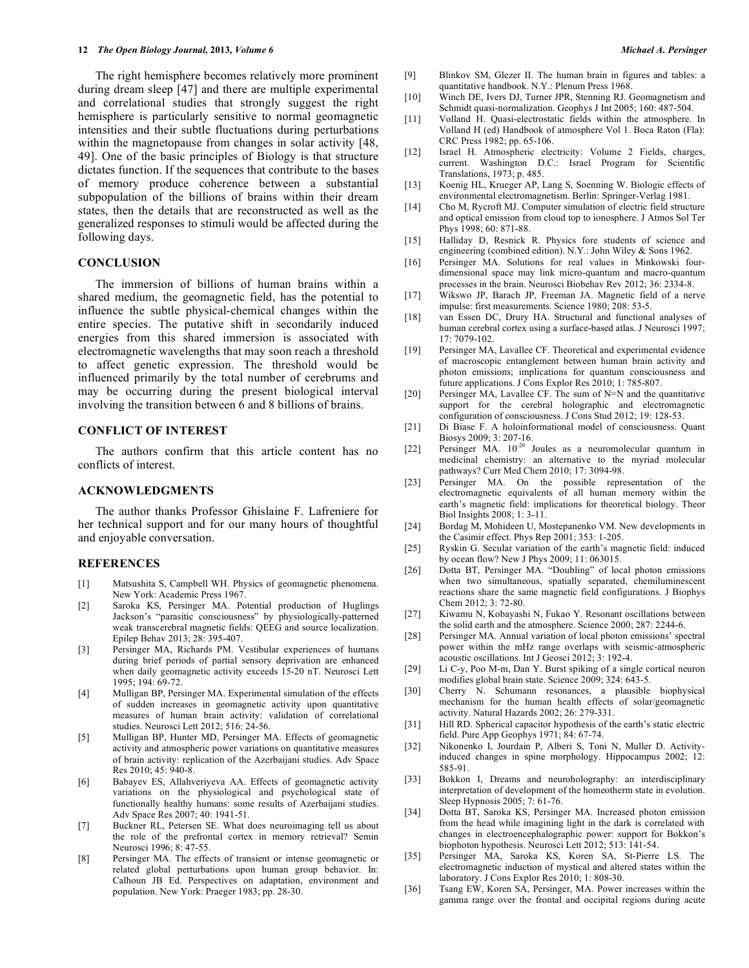The right hemisphere becomes relatively more prominent during dream sleep [47] and there are multiple experimental and correlational studies that strongly suggest the right hemisphere is particularly sensitive to normal geomagnetic intensities and their subtle fluctuations during perturbations within the magnetopause from changes in solar activity [48, 49]. One of the basic principles of Biology is that structure dictates function. If the sequences that contribute to the bases of memory produce coherence between a substantial subpopulation of the billions of brains within their dream states, then the details that are reconstructed as well as the generalized responses to stimuli would be affected during the following days.

## **CONCLUSION**

The immersion of billions of human brains within a shared medium, the geomagnetic field, has the potential to influence the subtle physical-chemical changes within the entire species. The putative shift in secondarily induced energies from this shared immersion is associated with electromagnetic wavelengths that may soon reach a threshold to affect genetic expression. The threshold would be influenced primarily by the total number of cerebrums and may be occurring during the present biological interval involving the transition between 6 and 8 billions of brains.

# **CONFLICT OF INTEREST**

The authors confirm that this article content has no conflicts of interest.

### **ACKNOWLEDGMENTS**

The author thanks Professor Ghislaine F. Lafreniere for her technical support and for our many hours of thoughtful and enjoyable conversation.

#### **REFERENCES**

- [1] Matsushita S, Campbell WH. Physics of geomagnetic phenomena. New York: Academic Press 1967.
- [2] Saroka KS, Persinger MA. Potential production of Huglings Jackson's "parasitic consciousness" by physiologically-patterned weak transcerebral magnetic fields: QEEG and source localization. Epilep Behav 2013; 28: 395-407.
- [3] Persinger MA, Richards PM. Vestibular experiences of humans during brief periods of partial sensory deprivation are enhanced when daily geomagnetic activity exceeds 15-20 nT. Neurosci Lett 1995; 194: 69-72.
- [4] Mulligan BP, Persinger MA. Experimental simulation of the effects of sudden increases in geomagnetic activity upon quantitative measures of human brain activity: validation of correlational studies. Neurosci Lett 2012; 516: 24-56.
- [5] Mulligan BP, Hunter MD, Persinger MA. Effects of geomagnetic activity and atmospheric power variations on quantitative measures of brain activity: replication of the Azerbaijani studies. Adv Space Res 2010; 45: 940-8.
- [6] Babayev ES, Allahveriyeva AA. Effects of geomagnetic activity variations on the physiological and psychological state of functionally healthy humans: some results of Azerbaijani studies. Adv Space Res 2007; 40: 1941-51.
- [7] Buckner RL, Petersen SE. What does neuroimaging tell us about the role of the prefrontal cortex in memory retrieval? Semin Neurosci 1996; 8: 47-55.
- [8] Persinger MA. The effects of transient or intense geomagnetic or related global perturbations upon human group behavior. In: Calhoun JB Ed. Perspectives on adaptation, environment and population. New York: Praeger 1983; pp. 28-30.
- [9] Blinkov SM, Glezer II. The human brain in figures and tables: a quantitative handbook. N.Y.: Plenum Press 1968.
- [10] Winch DE, Ivers DJ, Turner JPR, Stenning RJ. Geomagnetism and Schmidt quasi-normalization. Geophys J Int 2005; 160: 487-504.
- [11] Volland H. Quasi-electrostatic fields within the atmosphere. In Volland H (ed) Handbook of atmosphere Vol 1. Boca Raton (Fla): CRC Press 1982; pp. 65-106.
- [12] Israel H. Atmospheric electricity: Volume 2 Fields, charges, current. Washington D.C.: Israel Program for Scientific Translations, 1973; p. 485.
- [13] Koenig HL, Krueger AP, Lang S, Soenning W. Biologic effects of environmental electromagnetism. Berlin: Springer-Verlag 1981.
- [14] Cho M, Rycroft MJ. Computer simulation of electric field structure and optical emission from cloud top to ionosphere. J Atmos Sol Ter Phys 1998; 60: 871-88.
- [15] Halliday D, Resnick R. Physics fore students of science and engineering (combined edition). N.Y.: John Wiley & Sons 1962.
- [16] Persinger MA. Solutions for real values in Minkowski fourdimensional space may link micro-quantum and macro-quantum processes in the brain. Neurosci Biobehav Rev 2012; 36: 2334-8.
- [17] Wikswo JP, Barach JP, Freeman JA. Magnetic field of a nerve impulse: first measurements. Science 1980; 208: 53-5.
- [18] van Essen DC, Drury HA. Structural and functional analyses of human cerebral cortex using a surface-based atlas. J Neurosci 1997; 17: 7079-102.
- [19] Persinger MA, Lavallee CF. Theoretical and experimental evidence of macroscopic entanglement between human brain activity and photon emissions; implications for quantum consciousness and future applications. J Cons Explor Res 2010; 1: 785-807.
- [20] Persinger MA, Lavallee CF. The sum of N=N and the quantitative support for the cerebral holographic and electromagnetic configuration of consciousness. J Cons Stud 2012; 19: 128-53.
- [21] Di Biase F. A holoinformational model of consciousness. Quant Biosys 2009; 3: 207-16.
- [22] Persinger MA.  $10^{-20}$  Joules as a neuromolecular quantum in medicinal chemistry: an alternative to the myriad molecular pathways? Curr Med Chem 2010; 17: 3094-98.
- [23] Persinger MA. On the possible representation of the electromagnetic equivalents of all human memory within the earth's magnetic field: implications for theoretical biology. Theor Biol Insights 2008; 1: 3-11.
- [24] Bordag M, Mohideen U, Mostepanenko VM. New developments in the Casimir effect. Phys Rep 2001; 353: 1-205.
- [25] Ryskin G. Secular variation of the earth's magnetic field: induced by ocean flow? New J Phys 2009; 11: 063015.
- [26] Dotta BT, Persinger MA. "Doubling" of local photon emissions when two simultaneous, spatially separated, chemiluminescent reactions share the same magnetic field configurations. J Biophys Chem 2012; 3: 72-80.
- [27] Kiwamu N, Kobayashi N, Fukao Y. Resonant oscillations between the solid earth and the atmosphere. Science 2000; 287: 2244-6.
- [28] Persinger MA. Annual variation of local photon emissions' spectral power within the mHz range overlaps with seismic-atmospheric acoustic oscillations. Int J Geosci 2012; 3: 192-4.
- [29] Li C-y, Poo M-m, Dan Y. Burst spiking of a single cortical neuron modifies global brain state. Science 2009; 324: 643-5.
- [30] Cherry N. Schumann resonances, a plausible biophysical mechanism for the human health effects of solar/geomagnetic activity. Natural Hazards 2002; 26: 279-331.
- [31] Hill RD. Spherical capacitor hypothesis of the earth's static electric field. Pure App Geophys 1971; 84: 67-74.
- [32] Nikonenko I, Jourdain P, Alberi S, Toni N, Muller D. Activityinduced changes in spine morphology. Hippocampus 2002; 12: 585-91.
- [33] Bokkon I, Dreams and neuroholography: an interdisciplinary interpretation of development of the homeotherm state in evolution. Sleep Hypnosis 2005; 7: 61-76.
- [34] Dotta BT, Saroka KS, Persinger MA. Increased photon emission from the head while imagining light in the dark is correlated with changes in electroencephalographic power: support for Bokkon's biophoton hypothesis. Neurosci Lett 2012; 513: 141-54.
- [35] Persinger MA, Saroka KS, Koren SA, St-Pierre LS. The electromagnetic induction of mystical and altered states within the laboratory. J Cons Explor Res 2010; 1: 808-30.
- [36] Tsang EW, Koren SA, Persinger, MA. Power increases within the gamma range over the frontal and occipital regions during acute